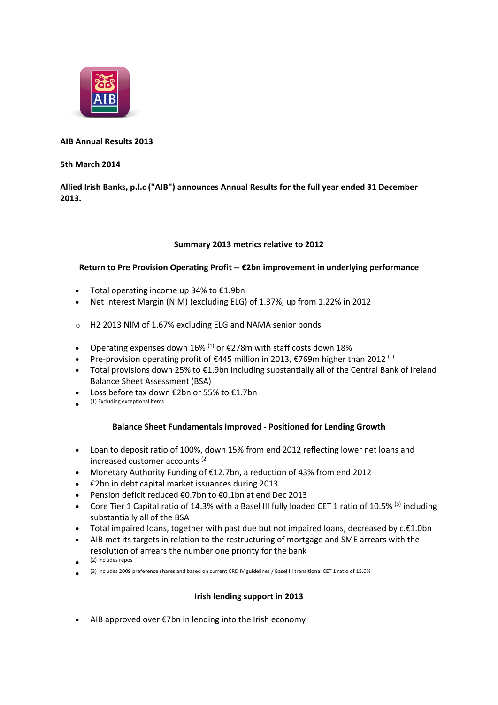

# **AIB Annual Results 2013**

#### **5th March 2014**

# **Allied Irish Banks, p.l.c ("AIB") announces Annual Results for the full year ended 31 December 2013.**

### **Summary 2013 metrics relative to 2012**

# **Return to Pre Provision Operating Profit -- €2bn improvement in underlying performance**

- Total operating income up 34% to €1.9bn
- Net Interest Margin (NIM) (excluding ELG) of 1.37%, up from 1.22% in 2012
- o H2 2013 NIM of 1.67% excluding ELG and NAMA senior bonds
- Operating expenses down 16% <sup>(1)</sup> or  $\epsilon$ 278m with staff costs down 18%
- Pre-provision operating profit of  $\epsilon$ 445 million in 2013,  $\epsilon$ 769m higher than 2012<sup>(1)</sup>
- Total provisions down 25% to €1.9bn including substantially all of the Central Bank of Ireland Balance Sheet Assessment (BSA)
- Loss before tax down €2bn or 55% to €1.7bn
- $\bullet$ (1) Excluding exceptional items

### **Balance Sheet Fundamentals Improved - Positioned for Lending Growth**

- Loan to deposit ratio of 100%, down 15% from end 2012 reflecting lower net loans and increased customer accounts (2)
- Monetary Authority Funding of €12.7bn, a reduction of 43% from end 2012
- €2bn in debt capital market issuances during 2013
- Pension deficit reduced €0.7bn to €0.1bn at end Dec 2013
- Core Tier 1 Capital ratio of 14.3% with a Basel III fully loaded CET 1 ratio of 10.5% <sup>(3)</sup> including substantially all of the BSA
- Total impaired loans, together with past due but not impaired loans, decreased by c.€1.0bn
- AIB met its targets in relation to the restructuring of mortgage and SME arrears with the resolution of arrears the number one priority for the bank
- $\bullet$ (2) Includes repos
- $\bullet$ (3) Includes 2009 preference shares and based on current CRD IV guidelines / Basel III transitional CET 1 ratio of 15.0%

### **Irish lending support in 2013**

AIB approved over €7bn in lending into the Irish economy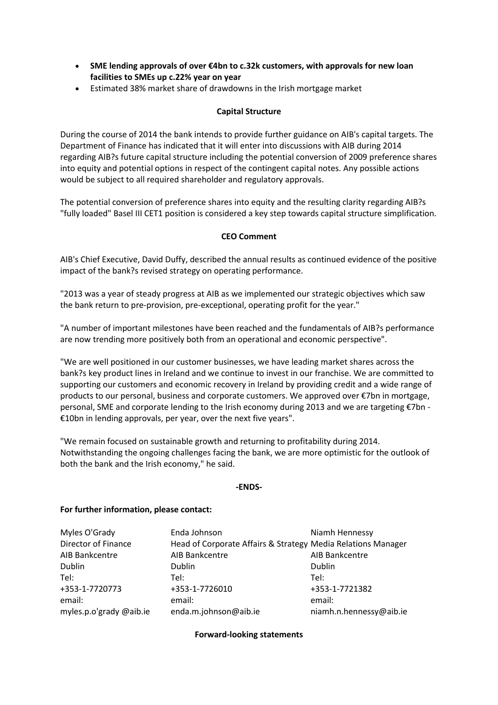- **SME lending approvals of over €4bn to c.32k customers, with approvals for new loan facilities to SMEs up c.22% year on year**
- Estimated 38% market share of drawdowns in the Irish mortgage market

# **Capital Structure**

During the course of 2014 the bank intends to provide further guidance on AIB's capital targets. The Department of Finance has indicated that it will enter into discussions with AIB during 2014 regarding AIB?s future capital structure including the potential conversion of 2009 preference shares into equity and potential options in respect of the contingent capital notes. Any possible actions would be subject to all required shareholder and regulatory approvals.

The potential conversion of preference shares into equity and the resulting clarity regarding AIB?s "fully loaded" Basel III CET1 position is considered a key step towards capital structure simplification.

### **CEO Comment**

AIB's Chief Executive, David Duffy, described the annual results as continued evidence of the positive impact of the bank?s revised strategy on operating performance.

"2013 was a year of steady progress at AIB as we implemented our strategic objectives which saw the bank return to pre-provision, pre-exceptional, operating profit for the year."

"A number of important milestones have been reached and the fundamentals of AIB?s performance are now trending more positively both from an operational and economic perspective".

"We are well positioned in our customer businesses, we have leading market shares across the bank?s key product lines in Ireland and we continue to invest in our franchise. We are committed to supporting our customers and economic recovery in Ireland by providing credit and a wide range of products to our personal, business and corporate customers. We approved over €7bn in mortgage, personal, SME and corporate lending to the Irish economy during 2013 and we are targeting €7bn - €10bn in lending approvals, per year, over the next five years".

"We remain focused on sustainable growth and returning to profitability during 2014. Notwithstanding the ongoing challenges facing the bank, we are more optimistic for the outlook of both the bank and the Irish economy," he said.

#### **-ENDS-**

#### **For further information, please contact:**

| Myles O'Grady           | Enda Johnson                                                 | Niamh Hennessy          |
|-------------------------|--------------------------------------------------------------|-------------------------|
| Director of Finance     | Head of Corporate Affairs & Strategy Media Relations Manager |                         |
|                         |                                                              |                         |
| AIB Bankcentre          | AIB Bankcentre                                               | AIB Bankcentre          |
| Dublin                  | Dublin                                                       | Dublin                  |
| Tel:                    | Tel:                                                         | Tel:                    |
| +353-1-7720773          | +353-1-7726010                                               | +353-1-7721382          |
| email:                  | email:                                                       | email:                  |
| myles.p.o'grady @aib.ie | enda.m.johnson@aib.ie                                        | niamh.n.hennessy@aib.ie |

#### **Forward-looking statements**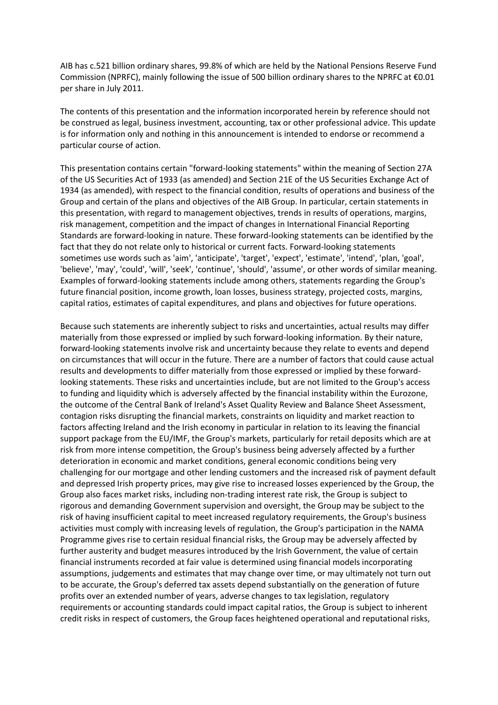AIB has c.521 billion ordinary shares, 99.8% of which are held by the National Pensions Reserve Fund Commission (NPRFC), mainly following the issue of 500 billion ordinary shares to the NPRFC at €0.01 per share in July 2011.

The contents of this presentation and the information incorporated herein by reference should not be construed as legal, business investment, accounting, tax or other professional advice. This update is for information only and nothing in this announcement is intended to endorse or recommend a particular course of action.

This presentation contains certain "forward-looking statements" within the meaning of Section 27A of the US Securities Act of 1933 (as amended) and Section 21E of the US Securities Exchange Act of 1934 (as amended), with respect to the financial condition, results of operations and business of the Group and certain of the plans and objectives of the AIB Group. In particular, certain statements in this presentation, with regard to management objectives, trends in results of operations, margins, risk management, competition and the impact of changes in International Financial Reporting Standards are forward-looking in nature. These forward-looking statements can be identified by the fact that they do not relate only to historical or current facts. Forward-looking statements sometimes use words such as 'aim', 'anticipate', 'target', 'expect', 'estimate', 'intend', 'plan, 'goal', 'believe', 'may', 'could', 'will', 'seek', 'continue', 'should', 'assume', or other words of similar meaning. Examples of forward-looking statements include among others, statements regarding the Group's future financial position, income growth, loan losses, business strategy, projected costs, margins, capital ratios, estimates of capital expenditures, and plans and objectives for future operations.

Because such statements are inherently subject to risks and uncertainties, actual results may differ materially from those expressed or implied by such forward-looking information. By their nature, forward-looking statements involve risk and uncertainty because they relate to events and depend on circumstances that will occur in the future. There are a number of factors that could cause actual results and developments to differ materially from those expressed or implied by these forwardlooking statements. These risks and uncertainties include, but are not limited to the Group's access to funding and liquidity which is adversely affected by the financial instability within the Eurozone, the outcome of the Central Bank of Ireland's Asset Quality Review and Balance Sheet Assessment, contagion risks disrupting the financial markets, constraints on liquidity and market reaction to factors affecting Ireland and the Irish economy in particular in relation to its leaving the financial support package from the EU/IMF, the Group's markets, particularly for retail deposits which are at risk from more intense competition, the Group's business being adversely affected by a further deterioration in economic and market conditions, general economic conditions being very challenging for our mortgage and other lending customers and the increased risk of payment default and depressed Irish property prices, may give rise to increased losses experienced by the Group, the Group also faces market risks, including non-trading interest rate risk, the Group is subject to rigorous and demanding Government supervision and oversight, the Group may be subject to the risk of having insufficient capital to meet increased regulatory requirements, the Group's business activities must comply with increasing levels of regulation, the Group's participation in the NAMA Programme gives rise to certain residual financial risks, the Group may be adversely affected by further austerity and budget measures introduced by the Irish Government, the value of certain financial instruments recorded at fair value is determined using financial models incorporating assumptions, judgements and estimates that may change over time, or may ultimately not turn out to be accurate, the Group's deferred tax assets depend substantially on the generation of future profits over an extended number of years, adverse changes to tax legislation, regulatory requirements or accounting standards could impact capital ratios, the Group is subject to inherent credit risks in respect of customers, the Group faces heightened operational and reputational risks,